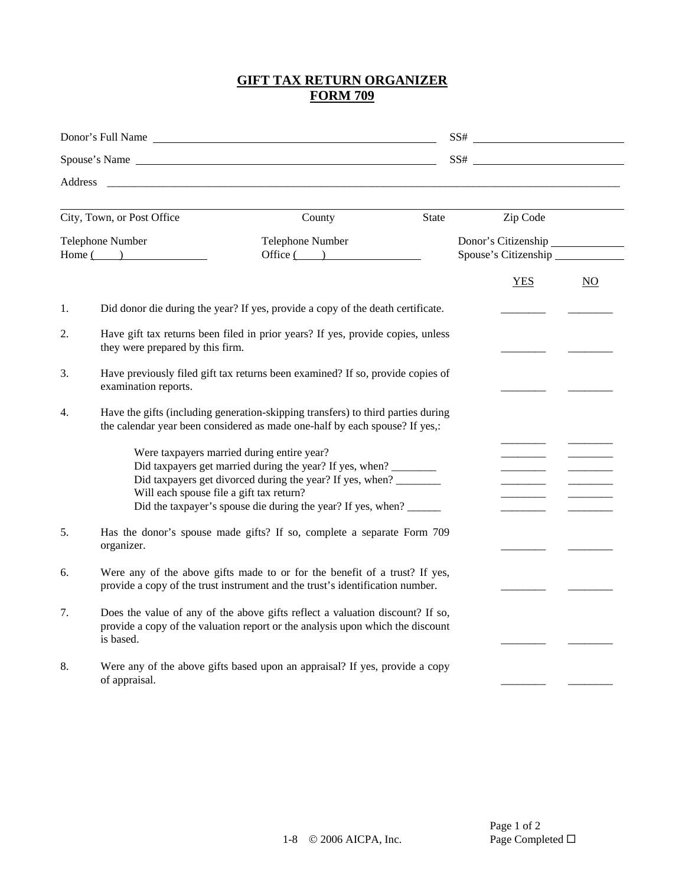## **GIFT TAX RETURN ORGANIZER FORM 709**

|                                 | Donor's Full Name                                                                                                   |                                                                                                                                                                                                                                                                                                   | $SS#$<br>SS# |                                             |                  |  |  |  |
|---------------------------------|---------------------------------------------------------------------------------------------------------------------|---------------------------------------------------------------------------------------------------------------------------------------------------------------------------------------------------------------------------------------------------------------------------------------------------|--------------|---------------------------------------------|------------------|--|--|--|
|                                 |                                                                                                                     |                                                                                                                                                                                                                                                                                                   |              |                                             |                  |  |  |  |
| Address                         |                                                                                                                     |                                                                                                                                                                                                                                                                                                   |              |                                             |                  |  |  |  |
|                                 | City, Town, or Post Office                                                                                          | County                                                                                                                                                                                                                                                                                            | State        | Zip Code                                    |                  |  |  |  |
| Telephone Number<br>$Home($ $)$ |                                                                                                                     | Telephone Number<br>Office( )                                                                                                                                                                                                                                                                     |              | Donor's Citizenship<br>Spouse's Citizenship |                  |  |  |  |
|                                 |                                                                                                                     |                                                                                                                                                                                                                                                                                                   |              | <b>YES</b>                                  | $\underline{NO}$ |  |  |  |
| 1.                              |                                                                                                                     | Did donor die during the year? If yes, provide a copy of the death certificate.                                                                                                                                                                                                                   |              |                                             |                  |  |  |  |
| 2.                              | Have gift tax returns been filed in prior years? If yes, provide copies, unless<br>they were prepared by this firm. |                                                                                                                                                                                                                                                                                                   |              |                                             |                  |  |  |  |
| 3.                              | Have previously filed gift tax returns been examined? If so, provide copies of<br>examination reports.              |                                                                                                                                                                                                                                                                                                   |              |                                             |                  |  |  |  |
| 4.                              |                                                                                                                     | Have the gifts (including generation-skipping transfers) to third parties during<br>the calendar year been considered as made one-half by each spouse? If yes,:                                                                                                                                   |              |                                             |                  |  |  |  |
|                                 |                                                                                                                     | Were taxpayers married during entire year?<br>Did taxpayers get married during the year? If yes, when? ________<br>Did taxpayers get divorced during the year? If yes, when? ________<br>Will each spouse file a gift tax return?<br>Did the taxpayer's spouse die during the year? If yes, when? |              |                                             |                  |  |  |  |
| 5.                              | organizer.                                                                                                          | Has the donor's spouse made gifts? If so, complete a separate Form 709                                                                                                                                                                                                                            |              |                                             |                  |  |  |  |
| 6.                              |                                                                                                                     | Were any of the above gifts made to or for the benefit of a trust? If yes,<br>provide a copy of the trust instrument and the trust's identification number.                                                                                                                                       |              |                                             |                  |  |  |  |
| 7.                              | is based.                                                                                                           | Does the value of any of the above gifts reflect a valuation discount? If so,<br>provide a copy of the valuation report or the analysis upon which the discount                                                                                                                                   |              |                                             |                  |  |  |  |
| 8.                              | of appraisal.                                                                                                       | Were any of the above gifts based upon an appraisal? If yes, provide a copy                                                                                                                                                                                                                       |              |                                             |                  |  |  |  |